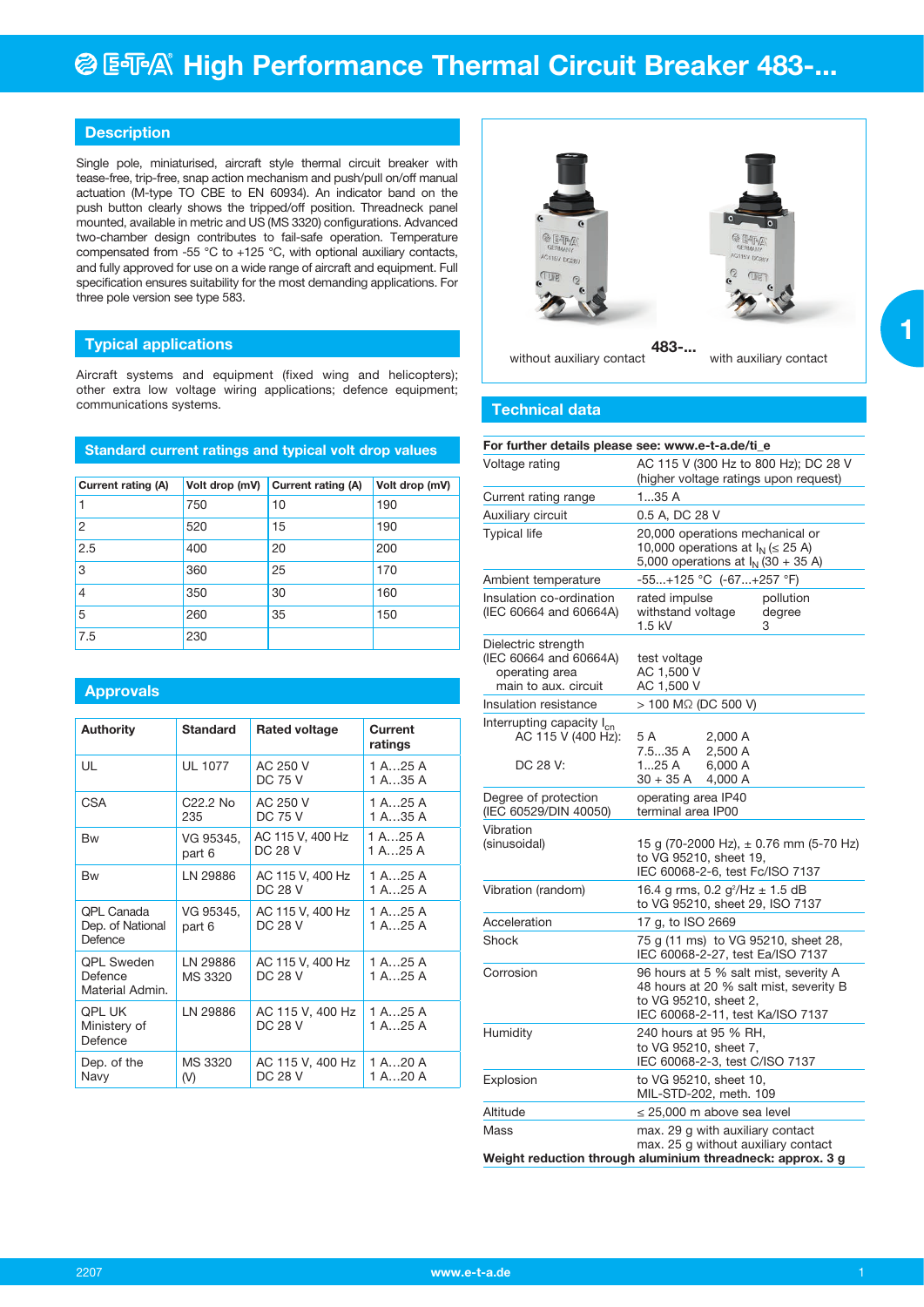## **Description**

Single pole, miniaturised, aircraft style thermal circuit breaker with tease-free, trip-free, snap action mechanism and push/pull on/off manual actuation (M-type TO CBE to EN 60934). An indicator band on the push button clearly shows the tripped/off position. Threadneck panel mounted, available in metric and US (MS 3320) configurations. Advanced two-chamber design contributes to fail-safe operation. Temperature compensated from -55 °C to +125 °C, with optional auxiliary contacts, and fully approved for use on a wide range of aircraft and equipment. Full specification ensures suitability for the most demanding applications. For three pole version see type 583.

## **Typical applications**

Aircraft systems and equipment (fixed wing and helicopters); other extra low voltage wiring applications; defence equipment; communications systems.

## **Standard current ratings and typical volt drop values**

| Current rating (A) | Volt drop (mV) | <b>Current rating (A)</b> | Volt drop (mV) |  |  |  |  |
|--------------------|----------------|---------------------------|----------------|--|--|--|--|
|                    | 750            | 10                        | 190            |  |  |  |  |
| 2                  | 520            | 15                        | 190            |  |  |  |  |
| 2.5                | 400            | 20                        | 200            |  |  |  |  |
| 3                  | 360            | 25                        | 170            |  |  |  |  |
| $\overline{4}$     | 350            | 30                        | 160            |  |  |  |  |
| 5                  | 260            | 35                        | 150            |  |  |  |  |
| 7.5                | 230            |                           |                |  |  |  |  |

## **Approvals**

| <b>Authority</b>                                | <b>Standard</b>     | <b>Rated voltage</b>               | Current<br>ratings   |
|-------------------------------------------------|---------------------|------------------------------------|----------------------|
| UL                                              | <b>UL 1077</b>      | AC 250 V<br>DC 75 V                | 1 A25 A<br>1 A35 A   |
| <b>CSA</b>                                      | C22.2 No<br>235     | AC 250 V<br><b>DC 75 V</b>         | 1 A25 A<br>1 A35 A   |
| <b>Bw</b>                                       | VG 95345,<br>part 6 | AC 115 V, 400 Hz<br><b>DC 28 V</b> | 1 A25 A<br>1 A. 25 A |
| <b>Bw</b>                                       | LN 29886            | AC 115 V, 400 Hz<br><b>DC 28 V</b> | 1 A25 A<br>1 A25 A   |
| QPL Canada<br>Dep. of National<br>Defence       | VG 95345,<br>part 6 | AC 115 V, 400 Hz<br>DC 28 V        | 1 A25 A<br>1 A25 A   |
| <b>OPL Sweden</b><br>Defence<br>Material Admin. | LN 29886<br>MS 3320 | AC 115 V, 400 Hz<br>DC 28 V        | 1 A25 A<br>1 A25 A   |
| <b>QPL UK</b><br>Ministery of<br>Defence        | LN 29886            | AC 115 V, 400 Hz<br>DC 28 V        | 1 A25 A<br>1 A25 A   |
| Dep. of the<br>Navy                             | MS 3320<br>(V)      | AC 115 V, 400 Hz<br>DC 28 V        | 1 A20 A<br>1 A20 A   |



## **Technical data**

| For further details please see: www.e-t-a.de/ti_e                                       |                                                                                                                                              |  |  |  |  |  |  |
|-----------------------------------------------------------------------------------------|----------------------------------------------------------------------------------------------------------------------------------------------|--|--|--|--|--|--|
| Voltage rating                                                                          | AC 115 V (300 Hz to 800 Hz); DC 28 V<br>(higher voltage ratings upon request)                                                                |  |  |  |  |  |  |
| Current rating range                                                                    | 135A                                                                                                                                         |  |  |  |  |  |  |
| Auxiliary circuit                                                                       | 0.5 A, DC 28 V                                                                                                                               |  |  |  |  |  |  |
| <b>Typical life</b>                                                                     | 20,000 operations mechanical or<br>10,000 operations at $I_N$ ( $\leq$ 25 A)<br>5,000 operations at $I_{N}$ (30 + 35 A)                      |  |  |  |  |  |  |
| Ambient temperature                                                                     | -55+125 °C (-67+257 °F)                                                                                                                      |  |  |  |  |  |  |
| Insulation co-ordination<br>(IEC 60664 and 60664A)                                      | rated impulse<br>pollution<br>withstand voltage<br>degree<br>1.5 kV<br>3                                                                     |  |  |  |  |  |  |
| Dielectric strength<br>(IEC 60664 and 60664A)<br>operating area<br>main to aux. circuit | test voltage<br>AC 1,500 V<br>AC 1,500 V                                                                                                     |  |  |  |  |  |  |
| Insulation resistance                                                                   | > 100 MΩ (DC 500 V)                                                                                                                          |  |  |  |  |  |  |
| Interrupting capacity I <sub>cn</sub><br>AC 115 V (400 Hz):<br>DC 28 V:                 | 5 A<br>2,000 A<br>7.535 A<br>2,500 A<br>125A<br>6,000 A<br>$30 + 35 A$<br>4,000 A                                                            |  |  |  |  |  |  |
| Degree of protection<br>(IEC 60529/DIN 40050)                                           | operating area IP40<br>terminal area IP00                                                                                                    |  |  |  |  |  |  |
| Vibration<br>(sinusoidal)                                                               | 15 g (70-2000 Hz), $\pm$ 0.76 mm (5-70 Hz)<br>to VG 95210, sheet 19,<br>IEC 60068-2-6, test Fc/ISO 7137                                      |  |  |  |  |  |  |
| Vibration (random)                                                                      | 16.4 g rms, 0.2 $g^2$ /Hz $\pm$ 1.5 dB<br>to VG 95210, sheet 29, ISO 7137                                                                    |  |  |  |  |  |  |
| Acceleration                                                                            | 17 g, to ISO 2669                                                                                                                            |  |  |  |  |  |  |
| Shock                                                                                   | 75 g (11 ms) to VG 95210, sheet 28,<br>IEC 60068-2-27, test Ea/ISO 7137                                                                      |  |  |  |  |  |  |
| Corrosion                                                                               | 96 hours at 5 % salt mist, severity A<br>48 hours at 20 % salt mist, severity B<br>to VG 95210, sheet 2,<br>IEC 60068-2-11, test Ka/ISO 7137 |  |  |  |  |  |  |
| Humidity                                                                                | 240 hours at 95 % RH,<br>to VG 95210, sheet 7,<br>IEC 60068-2-3, test C/ISO 7137                                                             |  |  |  |  |  |  |
| Explosion                                                                               | to VG 95210, sheet 10,<br>MIL-STD-202, meth. 109                                                                                             |  |  |  |  |  |  |
| Altitude                                                                                | $\leq$ 25,000 m above sea level                                                                                                              |  |  |  |  |  |  |
| Mass                                                                                    | max. 29 g with auxiliary contact<br>max. 25 g without auxiliary contact<br>Weight reduction through aluminium threadneck: approx. 3 g        |  |  |  |  |  |  |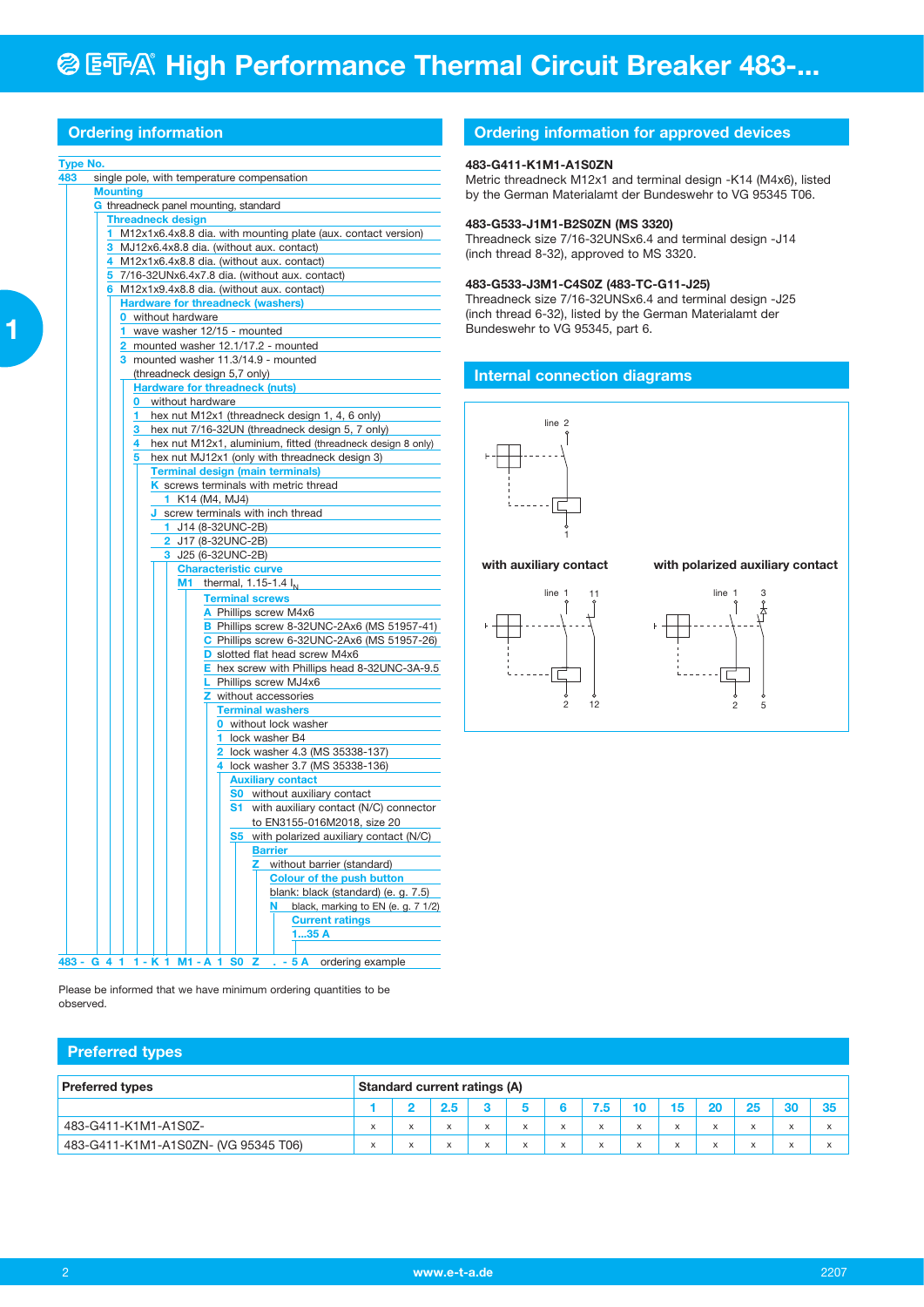|  | Ordering information |  |
|--|----------------------|--|
|  |                      |  |
|  |                      |  |
|  |                      |  |

#### **Type No.**

|     | Type No.                                                                                                         |  |  |  |  |  |  |  |  |  |  |
|-----|------------------------------------------------------------------------------------------------------------------|--|--|--|--|--|--|--|--|--|--|
| 483 | single pole, with temperature compensation                                                                       |  |  |  |  |  |  |  |  |  |  |
|     | <b>Mounting</b>                                                                                                  |  |  |  |  |  |  |  |  |  |  |
|     | G threadneck panel mounting, standard                                                                            |  |  |  |  |  |  |  |  |  |  |
|     | <b>Threadneck design</b>                                                                                         |  |  |  |  |  |  |  |  |  |  |
|     | M12x1x6.4x8.8 dia. with mounting plate (aux. contact version)<br>1.                                              |  |  |  |  |  |  |  |  |  |  |
|     | 3 MJ12x6.4x8.8 dia. (without aux. contact)                                                                       |  |  |  |  |  |  |  |  |  |  |
|     | 4 M12x1x6.4x8.8 dia. (without aux. contact)                                                                      |  |  |  |  |  |  |  |  |  |  |
|     | 5 7/16-32UNx6.4x7.8 dia. (without aux. contact)                                                                  |  |  |  |  |  |  |  |  |  |  |
|     | 6 M12x1x9.4x8.8 dia. (without aux. contact)                                                                      |  |  |  |  |  |  |  |  |  |  |
|     | <b>Hardware for threadneck (washers)</b>                                                                         |  |  |  |  |  |  |  |  |  |  |
|     | <b>0</b> without hardware                                                                                        |  |  |  |  |  |  |  |  |  |  |
|     | 1 wave washer 12/15 - mounted                                                                                    |  |  |  |  |  |  |  |  |  |  |
|     | 2 mounted washer 12.1/17.2 - mounted                                                                             |  |  |  |  |  |  |  |  |  |  |
|     | 3 mounted washer 11.3/14.9 - mounted                                                                             |  |  |  |  |  |  |  |  |  |  |
|     | (threadneck design 5,7 only)                                                                                     |  |  |  |  |  |  |  |  |  |  |
|     | <b>Hardware for threadneck (nuts)</b>                                                                            |  |  |  |  |  |  |  |  |  |  |
|     | <b>0</b> without hardware                                                                                        |  |  |  |  |  |  |  |  |  |  |
|     | 1 hex nut M12x1 (threadneck design 1, 4, 6 only)                                                                 |  |  |  |  |  |  |  |  |  |  |
|     | 3 hex nut 7/16-32UN (threadneck design 5, 7 only)<br>hex nut M12x1, aluminium, fitted (threadneck design 8 only) |  |  |  |  |  |  |  |  |  |  |
|     | hex nut MJ12x1 (only with threadneck design 3)<br>5.                                                             |  |  |  |  |  |  |  |  |  |  |
|     | <b>Terminal design (main terminals)</b>                                                                          |  |  |  |  |  |  |  |  |  |  |
|     | K screws terminals with metric thread                                                                            |  |  |  |  |  |  |  |  |  |  |
|     |                                                                                                                  |  |  |  |  |  |  |  |  |  |  |
|     | <b>1</b> K14 (M4, MJ4)<br>J screw terminals with inch thread                                                     |  |  |  |  |  |  |  |  |  |  |
|     | 1 J14 (8-32UNC-2B)                                                                                               |  |  |  |  |  |  |  |  |  |  |
|     |                                                                                                                  |  |  |  |  |  |  |  |  |  |  |
|     | <b>2</b> J17 (8-32UNC-2B)                                                                                        |  |  |  |  |  |  |  |  |  |  |
|     | 3 J25 (6-32UNC-2B)                                                                                               |  |  |  |  |  |  |  |  |  |  |
|     | <b>Characteristic curve</b>                                                                                      |  |  |  |  |  |  |  |  |  |  |
|     | <b>M1</b> thermal, 1.15-1.4 $I_N$                                                                                |  |  |  |  |  |  |  |  |  |  |
|     | <b>Terminal screws</b>                                                                                           |  |  |  |  |  |  |  |  |  |  |
|     | A Phillips screw M4x6                                                                                            |  |  |  |  |  |  |  |  |  |  |
|     | B Phillips screw 8-32UNC-2Ax6 (MS 51957-41)                                                                      |  |  |  |  |  |  |  |  |  |  |
|     | C Phillips screw 6-32UNC-2Ax6 (MS 51957-26)<br>D slotted flat head screw M4x6                                    |  |  |  |  |  |  |  |  |  |  |
|     | E hex screw with Phillips head 8-32UNC-3A-9.5                                                                    |  |  |  |  |  |  |  |  |  |  |
|     |                                                                                                                  |  |  |  |  |  |  |  |  |  |  |
|     | L Phillips screw MJ4x6<br><b>Z</b> without accessories                                                           |  |  |  |  |  |  |  |  |  |  |
|     | <b>Terminal washers</b>                                                                                          |  |  |  |  |  |  |  |  |  |  |
|     | <b>0</b> without lock washer                                                                                     |  |  |  |  |  |  |  |  |  |  |
|     | 1 lock washer B4                                                                                                 |  |  |  |  |  |  |  |  |  |  |
|     | 2 lock washer 4.3 (MS 35338-137)                                                                                 |  |  |  |  |  |  |  |  |  |  |
|     | 4 lock washer 3.7 (MS 35338-136)                                                                                 |  |  |  |  |  |  |  |  |  |  |
|     | <b>Auxiliary contact</b>                                                                                         |  |  |  |  |  |  |  |  |  |  |
|     | <b>S0</b> without auxiliary contact                                                                              |  |  |  |  |  |  |  |  |  |  |
|     | <b>S1</b> with auxiliary contact (N/C) connector                                                                 |  |  |  |  |  |  |  |  |  |  |
|     | to EN3155-016M2018, size 20                                                                                      |  |  |  |  |  |  |  |  |  |  |
|     | S5 with polarized auxiliary contact (N/C)                                                                        |  |  |  |  |  |  |  |  |  |  |
|     | <b>Barrier</b>                                                                                                   |  |  |  |  |  |  |  |  |  |  |
|     | without barrier (standard)<br>z                                                                                  |  |  |  |  |  |  |  |  |  |  |
|     | <b>Colour of the push button</b>                                                                                 |  |  |  |  |  |  |  |  |  |  |
|     | blank: black (standard) (e. g. 7.5)                                                                              |  |  |  |  |  |  |  |  |  |  |
|     | black, marking to EN (e. g. 7 1/2)<br>N                                                                          |  |  |  |  |  |  |  |  |  |  |
|     | <b>Current ratings</b>                                                                                           |  |  |  |  |  |  |  |  |  |  |
|     | 135A                                                                                                             |  |  |  |  |  |  |  |  |  |  |
|     |                                                                                                                  |  |  |  |  |  |  |  |  |  |  |

## **Ordering information for approved devices**

## **483-G411-K1M1-A1S0ZN**

Metric threadneck M12x1 and terminal design -K14 (M4x6), listed by the German Materialamt der Bundeswehr to VG 95345 T06.

#### **483-G533-J1M1-B2S0ZN (MS 3320)**

Threadneck size 7/16-32UNSx6.4 and terminal design -J14 (inch thread 8-32), approved to MS 3320.

## **483-G533-J3M1-C4S0Z (483-TC-G11-J25)**

Threadneck size 7/16-32UNSx6.4 and terminal design -J25 (inch thread 6-32), listed by the German Materialamt der Bundeswehr to VG 95345, part 6.

### **Internal connection diagrams**



#### **with auxiliary contact with polarized auxiliary contact**





Please be informed that we have minimum ordering quantities to be observed.

**483 - G 4 1 1 - K 1 M1 - A 1 S0 Z . - 5 A** ordering example

## **Preferred types**

| <b>Preferred types</b>               | Standard current ratings (A) |           |  |  |                 |  |          |  |                                       |  |  |   |  |
|--------------------------------------|------------------------------|-----------|--|--|-----------------|--|----------|--|---------------------------------------|--|--|---|--|
|                                      |                              |           |  |  |                 |  | 7.5      |  |                                       |  |  |   |  |
| 483-G411-K1M1-A1S0Z-                 | $\lambda$                    |           |  |  | X               |  | $\times$ |  | $\overline{\phantom{a}}$<br>$\lambda$ |  |  | x |  |
| 483-G411-K1M1-A1S0ZN- (VG 95345 T06) | $\lambda$<br>$\sim$          | $\lambda$ |  |  | $\lambda$<br>л. |  | л        |  | $\lambda$                             |  |  | л |  |

 **1**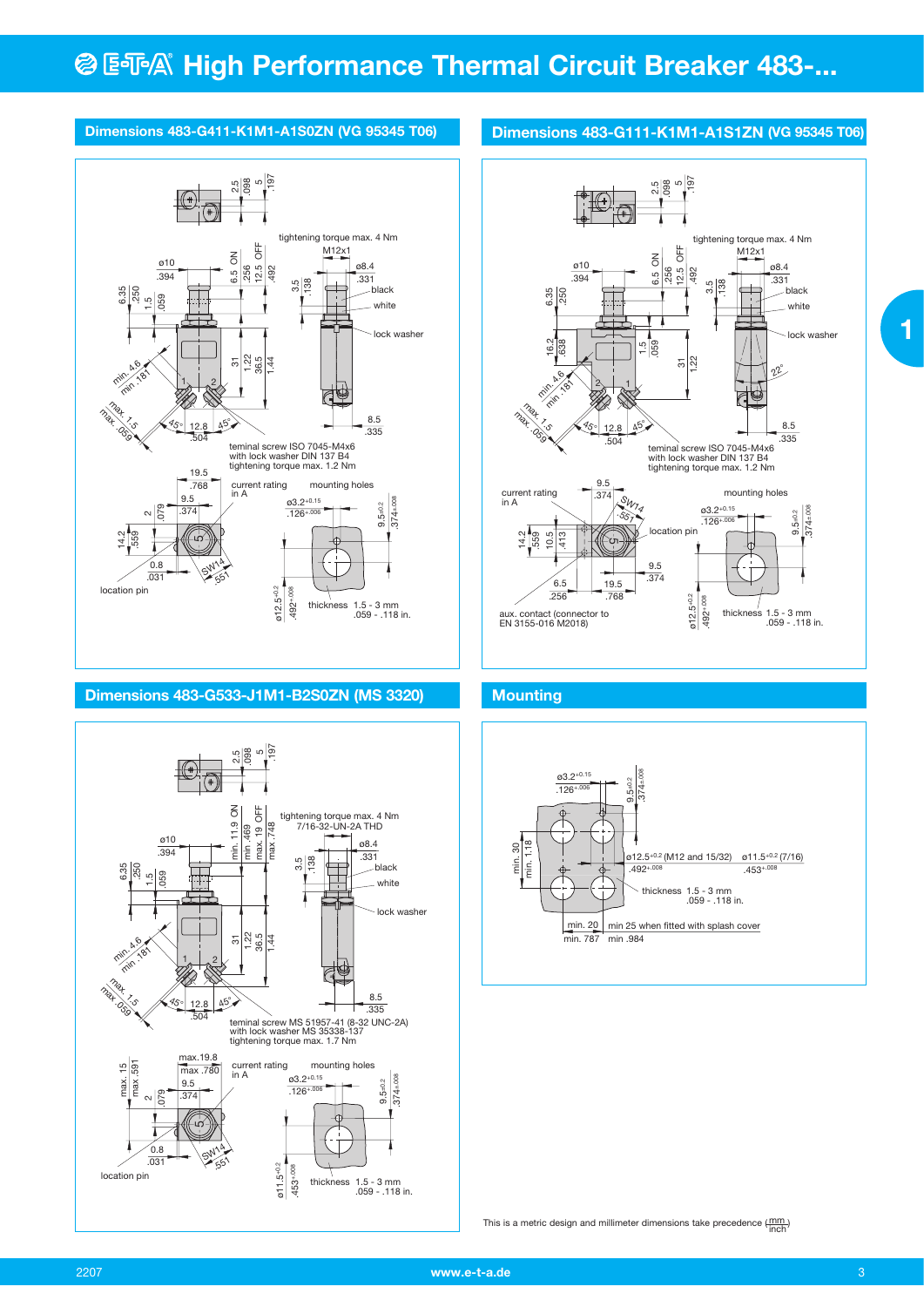# **@ ESA® High Performance Thermal Circuit Breaker 483-...**

# **Dimensions 483-G411-K1M1-A1S0ZN (VG 95345 T06)**



# **Dimensions 483-G533-J1M1-B2S0ZN (MS 3320)**



# **Dimensions 483-G111-K1M1-A1S1ZN (VG 95345 T06)**



# **Mounting**



This is a metric design and millimeter dimensions take precedence  $(\frac{mm}{inoh})$ 

 **1**